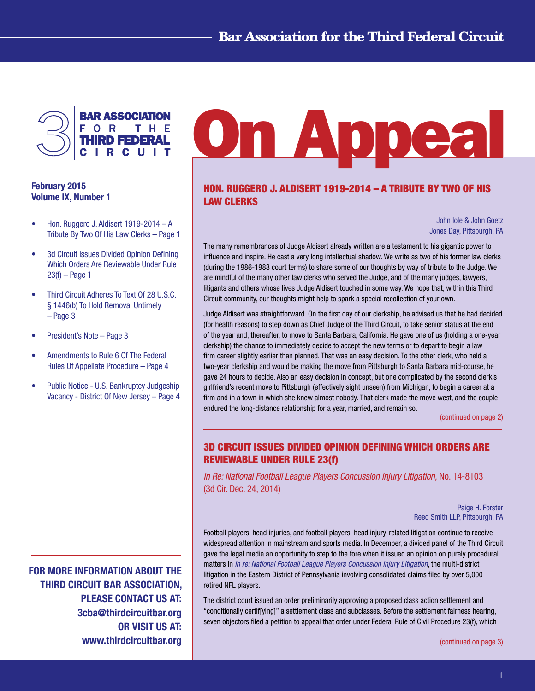

## February 2015 Volume IX, Number 1

- Hon. Ruggero J. Aldisert 1919-2014 A Tribute By Two Of His Law Clerks – Page 1
- 3d Circuit Issues Divided Opinion Defining Which Orders Are Reviewable Under Rule  $23(f)$  – Page 1
- Third Circuit Adheres To Text Of 28 U.S.C. § 1446(b) To Hold Removal Untimely – Page 3
- President's Note Page 3
- Amendments to Rule 6 Of The Federal Rules Of Appellate Procedure – Page 4
- Public Notice U.S. Bankruptcy Judgeship Vacancy - District Of New Jersey – Page 4

FOR MORE INFORMATION ABOUT THE THIRD CIRCUIT BAR ASSOCIATION, PLEASE CONTACT US AT: 3cba@thirdcircuitbar.org OR VISIT US AT: www.thirdcircuitbar.org

# **On Appea**

#### HON. RUGGERO J. ALDISERT 1919-2014 – A TRIBUTE BY TWO OF HIS LAW CLERKS

John Iole & John Goetz Jones Day, Pittsburgh, PA

The many remembrances of Judge Aldisert already written are a testament to his gigantic power to influence and inspire. He cast a very long intellectual shadow. We write as two of his former law clerks (during the 1986-1988 court terms) to share some of our thoughts by way of tribute to the Judge. We are mindful of the many other law clerks who served the Judge, and of the many judges, lawyers, litigants and others whose lives Judge Aldisert touched in some way. We hope that, within this Third Circuit community, our thoughts might help to spark a special recollection of your own.

Judge Aldisert was straightforward. On the first day of our clerkship, he advised us that he had decided (for health reasons) to step down as Chief Judge of the Third Circuit, to take senior status at the end of the year and, thereafter, to move to Santa Barbara, California. He gave one of us (holding a one-year clerkship) the chance to immediately decide to accept the new terms or to depart to begin a law firm career slightly earlier than planned. That was an easy decision. To the other clerk, who held a two-year clerkship and would be making the move from Pittsburgh to Santa Barbara mid-course, he gave 24 hours to decide. Also an easy decision in concept, but one complicated by the second clerk's girlfriend's recent move to Pittsburgh (effectively sight unseen) from Michigan, to begin a career at a firm and in a town in which she knew almost nobody. That clerk made the move west, and the couple endured the long-distance relationship for a year, married, and remain so.

[\(continued on page 2\)](#page-1-0)

## 3D CIRCUIT ISSUES DIVIDED OPINION DEFINING WHICH ORDERS ARE REVIEWABLE UNDER RULE 23(f)

*In Re: National Football League Players Concussion Injury Litigation,* No. 14-8103 (3d Cir. Dec. 24, 2014)

> Paige H. Forster Reed Smith LLP, Pittsburgh, PA

Football players, head injuries, and football players' head injury-related litigation continue to receive widespread attention in mainstream and sports media. In December, a divided panel of the Third Circuit gave the legal media an opportunity to step to the fore when it issued an opinion on purely procedural matters in *[In re: National Football League Players Concussion Injury Litigation](http://www2.ca3.uscourts.gov/opinarch/148103p.pdf)*, the multi-district litigation in the Eastern District of Pennsylvania involving consolidated claims filed by over 5,000 retired NFL players.

The district court issued an order preliminarily approving a proposed class action settlement and "conditionally certif[ying]" a settlement class and subclasses. Before the settlement fairness hearing, seven objectors filed a petition to appeal that order under Federal Rule of Civil Procedure 23(f), which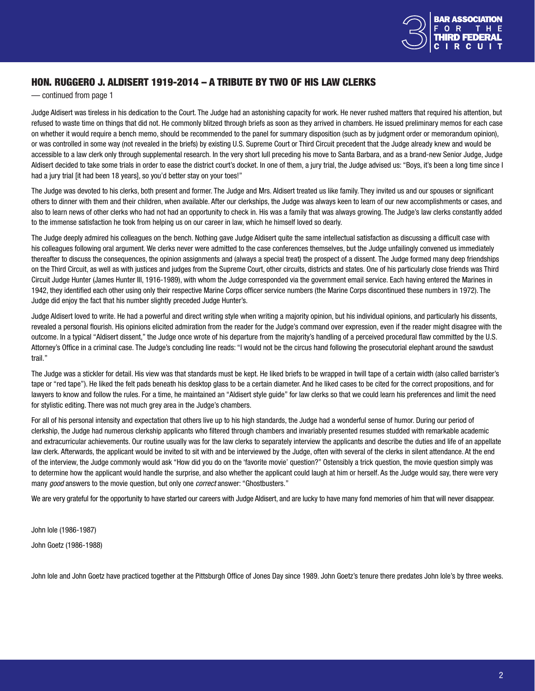

## <span id="page-1-0"></span>HON. RUGGERO J. ALDISERT 1919-2014 – A TRIBUTE BY TWO OF HIS LAW CLERKS

— continued from page 1

Judge Aldisert was tireless in his dedication to the Court. The Judge had an astonishing capacity for work. He never rushed matters that required his attention, but refused to waste time on things that did not. He commonly blitzed through briefs as soon as they arrived in chambers. He issued preliminary memos for each case on whether it would require a bench memo, should be recommended to the panel for summary disposition (such as by judgment order or memorandum opinion), or was controlled in some way (not revealed in the briefs) by existing U.S. Supreme Court or Third Circuit precedent that the Judge already knew and would be accessible to a law clerk only through supplemental research. In the very short lull preceding his move to Santa Barbara, and as a brand-new Senior Judge, Judge Aldisert decided to take some trials in order to ease the district court's docket. In one of them, a jury trial, the Judge advised us: "Boys, it's been a long time since I had a jury trial [it had been 18 years], so you'd better stay on your toes!"

The Judge was devoted to his clerks, both present and former. The Judge and Mrs. Aldisert treated us like family. They invited us and our spouses or significant others to dinner with them and their children, when available. After our clerkships, the Judge was always keen to learn of our new accomplishments or cases, and also to learn news of other clerks who had not had an opportunity to check in. His was a family that was always growing. The Judge's law clerks constantly added to the immense satisfaction he took from helping us on our career in law, which he himself loved so dearly.

The Judge deeply admired his colleagues on the bench. Nothing gave Judge Aldisert quite the same intellectual satisfaction as discussing a difficult case with his colleagues following oral argument. We clerks never were admitted to the case conferences themselves, but the Judge unfailingly convened us immediately thereafter to discuss the consequences, the opinion assignments and (always a special treat) the prospect of a dissent. The Judge formed many deep friendships on the Third Circuit, as well as with justices and judges from the Supreme Court, other circuits, districts and states. One of his particularly close friends was Third Circuit Judge Hunter (James Hunter III, 1916-1989), with whom the Judge corresponded via the government email service. Each having entered the Marines in 1942, they identified each other using only their respective Marine Corps officer service numbers (the Marine Corps discontinued these numbers in 1972). The Judge did enjoy the fact that his number slightly preceded Judge Hunter's.

Judge Aldisert loved to write. He had a powerful and direct writing style when writing a majority opinion, but his individual opinions, and particularly his dissents, revealed a personal flourish. His opinions elicited admiration from the reader for the Judge's command over expression, even if the reader might disagree with the outcome. In a typical "Aldisert dissent," the Judge once wrote of his departure from the majority's handling of a perceived procedural flaw committed by the U.S. Attorney's Office in a criminal case. The Judge's concluding line reads: "I would not be the circus hand following the prosecutorial elephant around the sawdust trail."

The Judge was a stickler for detail. His view was that standards must be kept. He liked briefs to be wrapped in twill tape of a certain width (also called barrister's tape or "red tape"). He liked the felt pads beneath his desktop glass to be a certain diameter. And he liked cases to be cited for the correct propositions, and for lawyers to know and follow the rules. For a time, he maintained an "Aldisert style guide" for law clerks so that we could learn his preferences and limit the need for stylistic editing. There was not much grey area in the Judge's chambers.

For all of his personal intensity and expectation that others live up to his high standards, the Judge had a wonderful sense of humor. During our period of clerkship, the Judge had numerous clerkship applicants who filtered through chambers and invariably presented resumes studded with remarkable academic and extracurricular achievements. Our routine usually was for the law clerks to separately interview the applicants and describe the duties and life of an appellate law clerk. Afterwards, the applicant would be invited to sit with and be interviewed by the Judge, often with several of the clerks in silent attendance. At the end of the interview, the Judge commonly would ask "How did you do on the 'favorite movie' question?" Ostensibly a trick question, the movie question simply was to determine how the applicant would handle the surprise, and also whether the applicant could laugh at him or herself. As the Judge would say, there were very many *good* answers to the movie question, but only one *correct* answer: "Ghostbusters."

We are very grateful for the opportunity to have started our careers with Judge Aldisert, and are lucky to have many fond memories of him that will never disappear.

John Iole (1986-1987)

John Goetz (1986-1988)

John Iole and John Goetz have practiced together at the Pittsburgh Office of Jones Day since 1989. John Goetz's tenure there predates John Iole's by three weeks.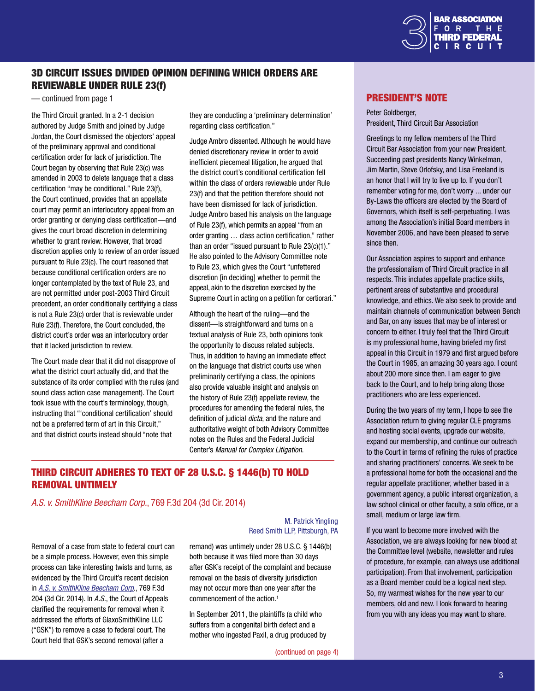

# <span id="page-2-0"></span>3D CIRCUIT ISSUES DIVIDED OPINION DEFINING WHICH ORDERS ARE REVIEWABLE UNDER RULE 23(f)

the Third Circuit granted. In a 2-1 decision authored by Judge Smith and joined by Judge Jordan, the Court dismissed the objectors' appeal of the preliminary approval and conditional certification order for lack of jurisdiction. The Court began by observing that Rule 23(c) was amended in 2003 to delete language that a class certification "may be conditional." Rule 23(f), the Court continued, provides that an appellate court may permit an interlocutory appeal from an order granting or denying class certification—and gives the court broad discretion in determining whether to grant review. However, that broad discretion applies only to review of an order issued pursuant to Rule 23(c). The court reasoned that because conditional certification orders are no longer contemplated by the text of Rule 23, and are not permitted under post-2003 Third Circuit precedent, an order conditionally certifying a class is not a Rule 23(c) order that is reviewable under Rule 23(f). Therefore, the Court concluded, the district court's order was an interlocutory order that it lacked jurisdiction to review.

The Court made clear that it did not disapprove of what the district court actually did, and that the substance of its order complied with the rules (and sound class action case management). The Court took issue with the court's terminology, though, instructing that "'conditional certification' should not be a preferred term of art in this Circuit," and that district courts instead should "note that

they are conducting a 'preliminary determination' regarding class certification."

Judge Ambro dissented. Although he would have denied discretionary review in order to avoid inefficient piecemeal litigation, he argued that the district court's conditional certification fell within the class of orders reviewable under Rule 23(f) and that the petition therefore should not have been dismissed for lack of jurisdiction. Judge Ambro based his analysis on the language of Rule 23(f), which permits an appeal "from an order granting … class action certification," rather than an order "issued pursuant to Rule 23(c)(1)." He also pointed to the Advisory Committee note to Rule 23, which gives the Court "unfettered discretion [in deciding] whether to permit the appeal, akin to the discretion exercised by the Supreme Court in acting on a petition for certiorari."

Although the heart of the ruling—and the dissent—is straightforward and turns on a textual analysis of Rule 23, both opinions took the opportunity to discuss related subjects. Thus, in addition to having an immediate effect on the language that district courts use when preliminarily certifying a class, the opinions also provide valuable insight and analysis on the history of Rule 23(f) appellate review, the procedures for amending the federal rules, the definition of judicial *dicta*, and the nature and authoritative weight of both Advisory Committee notes on the Rules and the Federal Judicial Center's *Manual for Complex Litigation*.

# THIRD CIRCUIT ADHERES TO TEXT OF 28 U.S.C. § 1446(b) TO HOLD REMOVAL UNTIMELY

*A.S. v. SmithKline Beecham Corp.*, 769 F.3d 204 (3d Cir. 2014)

Removal of a case from state to federal court can be a simple process. However, even this simple process can take interesting twists and turns, as evidenced by the Third Circuit's recent decision in *[A.S. v. SmithKline Beecham Corp](http://www2.ca3.uscourts.gov/opinarch/141229p.pdf)*., 769 F.3d 204 (3d Cir. 2014). In *A.S.*, the Court of Appeals clarified the requirements for removal when it addressed the efforts of GlaxoSmithKline LLC ("GSK") to remove a case to federal court. The Court held that GSK's second removal (after a

#### M. Patrick Yingling Reed Smith LLP, Pittsburgh, PA

remand) was untimely under 28 U.S.C. § 1446(b) both because it was filed more than 30 days after GSK's receipt of the complaint and because removal on the basis of diversity jurisdiction may not occur more than one year after the commencement of the action.<sup>1</sup>

In September 2011, the plaintiffs (a child who suffers from a congenital birth defect and a mother who ingested Paxil, a drug produced by

#### — continued from page 1 **PRESIDENT'S NOTE**

Peter Goldberger, President, Third Circuit Bar Association

Greetings to my fellow members of the Third Circuit Bar Association from your new President. Succeeding past presidents Nancy Winkelman, Jim Martin, Steve Orlofsky, and Lisa Freeland is an honor that I will try to live up to. If you don't remember voting for me, don't worry ... under our By-Laws the officers are elected by the Board of Governors, which itself is self-perpetuating. I was among the Association's initial Board members in November 2006, and have been pleased to serve since then.

Our Association aspires to support and enhance the professionalism of Third Circuit practice in all respects. This includes appellate practice skills, pertinent areas of substantive and procedural knowledge, and ethics. We also seek to provide and maintain channels of communication between Bench and Bar, on any issues that may be of interest or concern to either. I truly feel that the Third Circuit is my professional home, having briefed my first appeal in this Circuit in 1979 and first argued before the Court in 1985, an amazing 30 years ago. I count about 200 more since then. I am eager to give back to the Court, and to help bring along those practitioners who are less experienced.

During the two years of my term, I hope to see the Association return to giving regular CLE programs and hosting social events, upgrade our website, expand our membership, and continue our outreach to the Court in terms of refining the rules of practice and sharing practitioners' concerns. We seek to be a professional home for both the occasional and the regular appellate practitioner, whether based in a government agency, a public interest organization, a law school clinical or other faculty, a solo office, or a small, medium or large law firm.

If you want to become more involved with the Association, we are always looking for new blood at the Committee level (website, newsletter and rules of procedure, for example, can always use additional participation). From that involvement, participation as a Board member could be a logical next step. So, my warmest wishes for the new year to our members, old and new. I look forward to hearing from you with any ideas you may want to share.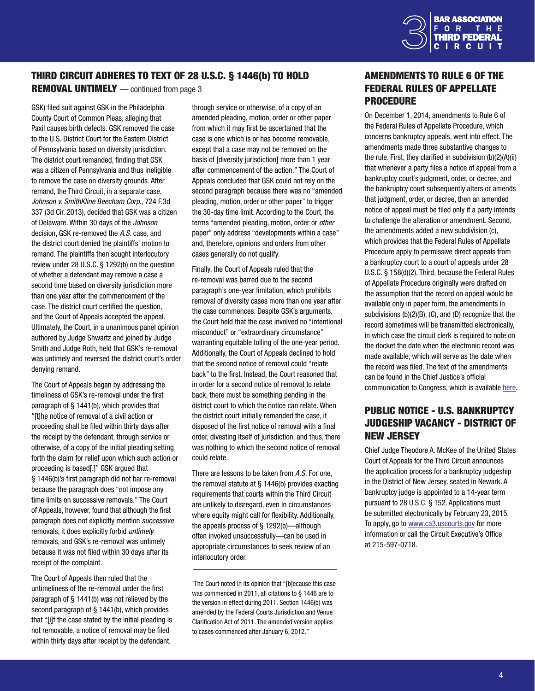

## <span id="page-3-0"></span>THIRD CIRCUIT ADHERES TO TEXT OF 28 U.S.C. § 1446(b) TO HOLD REMOVAL UNTIMELY — continued from page 3

GSK) filed suit against GSK in the Philadelphia County Court of Common Pleas, alleging that Paxil causes birth defects. GSK removed the case to the U.S. District Court for the Eastern District of Pennsylvania based on diversity jurisdiction. The district court remanded, finding that GSK was a citizen of Pennsylvania and thus ineligible to remove the case on diversity grounds. After remand, the Third Circuit, in a separate case, *Johnson v. SmithKline Beecham Corp*., 724 F.3d 337 (3d Cir. 2013), decided that GSK was a citizen of Delaware. Within 30 days of the *Johnson* decision, GSK re-removed the *A.S.* case, and the district court denied the plaintiffs' motion to remand. The plaintiffs then sought interlocutory review under 28 U.S.C. § 1292(b) on the question of whether a defendant may remove a case a second time based on diversity jurisdiction more than one year after the commencement of the case. The district court certified the question, and the Court of Appeals accepted the appeal. Ultimately, the Court, in a unanimous panel opinion authored by Judge Shwartz and joined by Judge Smith and Judge Roth, held that GSK's re-removal was untimely and reversed the district court's order denying remand.

The Court of Appeals began by addressing the timeliness of GSK's re-removal under the first paragraph of § 1441(b), which provides that "[t]he notice of removal of a civil action or proceeding shall be filed within thirty days after the receipt by the defendant, through service or otherwise, of a copy of the initial pleading setting forth the claim for relief upon which such action or proceeding is based[.]" GSK argued that § 1446(b)'s first paragraph did not bar re-removal because the paragraph does "not impose any time limits on successive removals." The Court of Appeals, however, found that although the first paragraph does not explicitly mention *successive* removals, it does explicitly forbid *untimely* removals, and GSK's re-removal was untimely because it was not filed within 30 days after its receipt of the complaint.

The Court of Appeals then ruled that the untimeliness of the re-removal under the first paragraph of § 1441(b) was not relieved by the second paragraph of § 1441(b), which provides that "[i]f the case stated by the initial pleading is not removable, a notice of removal may be filed within thirty days after receipt by the defendant,

through service or otherwise, of a copy of an amended pleading, motion, order or other paper from which it may first be ascertained that the case is one which is or has become removable, except that a case may not be removed on the basis of [diversity jurisdiction] more than 1 year after commencement of the action." The Court of Appeals concluded that GSK could not rely on the second paragraph because there was no "amended pleading, motion, order or other paper" to trigger the 30-day time limit. According to the Court, the terms "amended pleading, motion, order or *other* paper" only address "developments within a case" and, therefore, opinions and orders from other cases generally do not qualify.

Finally, the Court of Appeals ruled that the re-removal was barred due to the second paragraph's one-year limitation, which prohibits removal of diversity cases more than one year after the case commences. Despite GSK's arguments, the Court held that the case involved no "intentional misconduct" or "extraordinary circumstance" warranting equitable tolling of the one-year period. Additionally, the Court of Appeals declined to hold that the second notice of removal could "relate back" to the first. Instead, the Court reasoned that in order for a second notice of removal to relate back, there must be something pending in the district court to which the notice can relate. When the district court initially remanded the case, it disposed of the first notice of removal with a final order, divesting itself of jurisdiction, and thus, there was nothing to which the second notice of removal could relate.

There are lessons to be taken from *A.S.* For one, the removal statute at § 1446(b) provides exacting requirements that courts within the Third Circuit are unlikely to disregard, even in circumstances where equity might call for flexibility. Additionally, the appeals process of § 1292(b)—although often invoked unsuccessfully—can be used in appropriate circumstances to seek review of an interlocutory order.

1 The Court noted in its opinion that "[b]ecause this case was commenced in 2011, all citations to § 1446 are to the version in effect during 2011. Section 1446(b) was amended by the Federal Courts Jurisdiction and Venue Clarification Act of 2011. The amended version applies to cases commenced after January 6, 2012."

# AMENDMENTS TO RULE 6 OF THE FEDERAL RULES OF APPELLATE PROCEDURE

On December 1, 2014, amendments to Rule 6 of the Federal Rules of Appellate Procedure, which concerns bankruptcy appeals, went into effect. The amendments made three substantive changes to the rule. First, they clarified in subdivision (b)(2)(A)(ii) that whenever a party files a notice of appeal from a bankruptcy court's judgment, order, or decree, and the bankruptcy court subsequently alters or amends that judgment, order, or decree, then an amended notice of appeal must be filed only if a party intends to challenge the alteration or amendment. Second, the amendments added a new subdivision (c), which provides that the Federal Rules of Appellate Procedure apply to permissive direct appeals from a bankruptcy court to a court of appeals under 28 U.S.C. § 158(d)(2). Third, because the Federal Rules of Appellate Procedure originally were drafted on the assumption that the record on appeal would be available only in paper form, the amendments in subdivisions (b)(2)(B), (C), and (D) recognize that the record sometimes will be transmitted electronically, in which case the circuit clerk is required to note on the docket the date when the electronic record was made available, which will serve as the date when the record was filed. The text of the amendments can be found in the Chief Justice's official communication to Congress, which is available [here.](http://www.google.com/url?sa=t&rct=j&q=&esrc=s&frm=1&source=web&cd=1&ved=0CB4QFjAA&url=http%3A%2F%2Fwww.supremecourt.gov%2Forders%2Fcourtorders%2Ffrap14_4357.pdf&ei=CDu9VNfIFIz3yQS6toLQBA&usg=AFQjCNFlN92w6dnzOPJ0VZExV0W4LIzwXQ&sig2=oAC6Ofig77OXIJxkfXVelg)

# PUBLIC NOTICE - U.S. BANKRUPTCY JUDGESHIP VACANCY - DISTRICT OF NEW JERSEY

Chief Judge Theodore A. McKee of the United States Court of Appeals for the Third Circuit announces the application process for a bankruptcy judgeship in the District of New Jersey, seated in Newark. A bankruptcy judge is appointed to a 14-year term pursuant to 28 U.S.C. § 152. Applications must be submitted electronically by February 23, 2015. To apply, go to [www.ca3.uscourts.gov](http://www.ca3.uscourts.gov/) for more information or call the Circuit Executive's Office at 215-597-0718.